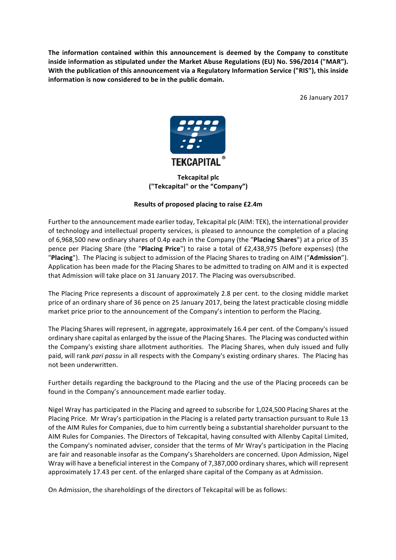The information contained within this announcement is deemed by the Company to constitute inside information as stipulated under the Market Abuse Regulations (EU) No. 596/2014 ("MAR"). With the publication of this announcement via a Regulatory Information Service ("RIS"), this inside **information is now considered to be in the public domain.** 

26 January 2017



**Tekcapital plc ("Tekcapital" or the "Company")**

# **Results of proposed placing to raise £2.4m**

Further to the announcement made earlier today, Tekcapital plc (AIM: TEK), the international provider of technology and intellectual property services, is pleased to announce the completion of a placing of 6,968,500 new ordinary shares of 0.4p each in the Company (the "Placing Shares") at a price of 35 pence per Placing Share (the "Placing Price") to raise a total of £2,438,975 (before expenses) (the "Placing"). The Placing is subject to admission of the Placing Shares to trading on AIM ("Admission"). Application has been made for the Placing Shares to be admitted to trading on AIM and it is expected that Admission will take place on 31 January 2017. The Placing was oversubscribed.

The Placing Price represents a discount of approximately 2.8 per cent. to the closing middle market price of an ordinary share of 36 pence on 25 January 2017, being the latest practicable closing middle market price prior to the announcement of the Company's intention to perform the Placing.

The Placing Shares will represent, in aggregate, approximately 16.4 per cent. of the Company's issued ordinary share capital as enlarged by the issue of the Placing Shares. The Placing was conducted within the Company's existing share allotment authorities. The Placing Shares, when duly issued and fully paid, will rank *pari passu* in all respects with the Company's existing ordinary shares. The Placing has not been underwritten.

Further details regarding the background to the Placing and the use of the Placing proceeds can be found in the Company's announcement made earlier today.

Nigel Wray has participated in the Placing and agreed to subscribe for 1,024,500 Placing Shares at the Placing Price. Mr Wray's participation in the Placing is a related party transaction pursuant to Rule 13 of the AIM Rules for Companies, due to him currently being a substantial shareholder pursuant to the AIM Rules for Companies. The Directors of Tekcapital, having consulted with Allenby Capital Limited, the Company's nominated adviser, consider that the terms of Mr Wray's participation in the Placing are fair and reasonable insofar as the Company's Shareholders are concerned. Upon Admission, Nigel Wray will have a beneficial interest in the Company of 7,387,000 ordinary shares, which will represent approximately 17.43 per cent. of the enlarged share capital of the Company as at Admission.

On Admission, the shareholdings of the directors of Tekcapital will be as follows: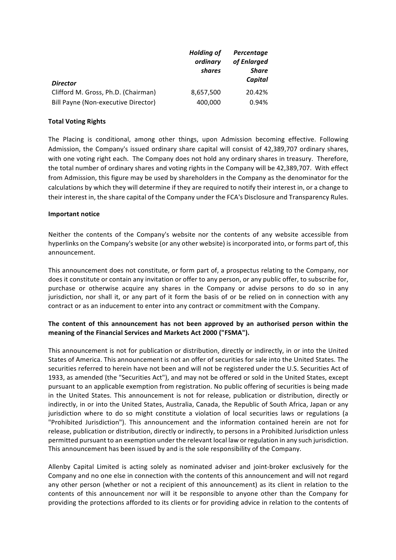| <b>Director</b>                     | <b>Holding of</b><br>ordinary<br>shares | Percentage<br>of Enlarged<br><b>Share</b><br>Capital |
|-------------------------------------|-----------------------------------------|------------------------------------------------------|
|                                     |                                         |                                                      |
| Clifford M. Gross, Ph.D. (Chairman) | 8,657,500                               | 20.42%                                               |
| Bill Payne (Non-executive Director) | 400,000                                 | 0.94%                                                |

### **Total Voting Rights**

The Placing is conditional, among other things, upon Admission becoming effective. Following Admission, the Company's issued ordinary share capital will consist of 42,389,707 ordinary shares, with one voting right each. The Company does not hold any ordinary shares in treasury. Therefore, the total number of ordinary shares and voting rights in the Company will be 42,389,707. With effect from Admission, this figure may be used by shareholders in the Company as the denominator for the calculations by which they will determine if they are required to notify their interest in, or a change to their interest in, the share capital of the Company under the FCA's Disclosure and Transparency Rules.

### **Important notice**

Neither the contents of the Company's website nor the contents of any website accessible from hyperlinks on the Company's website (or any other website) is incorporated into, or forms part of, this announcement.

This announcement does not constitute, or form part of, a prospectus relating to the Company, nor does it constitute or contain any invitation or offer to any person, or any public offer, to subscribe for, purchase or otherwise acquire any shares in the Company or advise persons to do so in any jurisdiction, nor shall it, or any part of it form the basis of or be relied on in connection with any contract or as an inducement to enter into any contract or commitment with the Company.

## The content of this announcement has not been approved by an authorised person within the meaning of the Financial Services and Markets Act 2000 ("FSMA").

This announcement is not for publication or distribution, directly or indirectly, in or into the United States of America. This announcement is not an offer of securities for sale into the United States. The securities referred to herein have not been and will not be registered under the U.S. Securities Act of 1933, as amended (the "Securities Act"), and may not be offered or sold in the United States, except pursuant to an applicable exemption from registration. No public offering of securities is being made in the United States. This announcement is not for release, publication or distribution, directly or indirectly, in or into the United States, Australia, Canada, the Republic of South Africa, Japan or any jurisdiction where to do so might constitute a violation of local securities laws or regulations (a "Prohibited Jurisdiction"). This announcement and the information contained herein are not for release, publication or distribution, directly or indirectly, to persons in a Prohibited Jurisdiction unless permitted pursuant to an exemption under the relevant local law or regulation in any such jurisdiction. This announcement has been issued by and is the sole responsibility of the Company.

Allenby Capital Limited is acting solely as nominated adviser and joint-broker exclusively for the Company and no one else in connection with the contents of this announcement and will not regard any other person (whether or not a recipient of this announcement) as its client in relation to the contents of this announcement nor will it be responsible to anyone other than the Company for providing the protections afforded to its clients or for providing advice in relation to the contents of